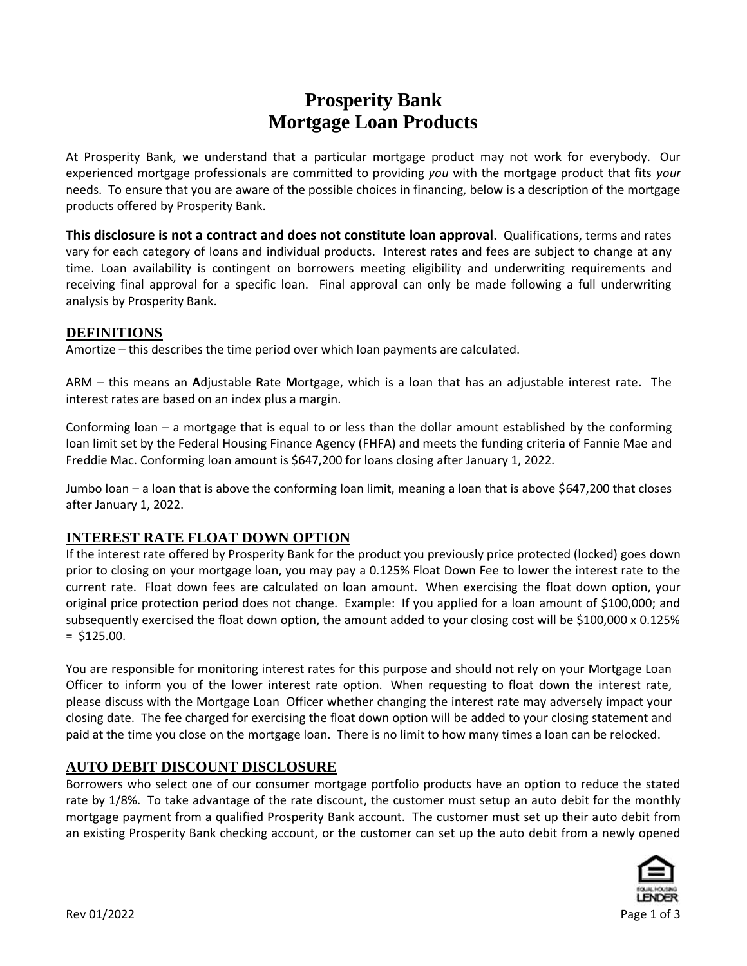# **Prosperity Bank Mortgage Loan Products**

At Prosperity Bank, we understand that a particular mortgage product may not work for everybody. Our experienced mortgage professionals are committed to providing *you* with the mortgage product that fits *your* needs. To ensure that you are aware of the possible choices in financing, below is a description of the mortgage products offered by Prosperity Bank.

**This disclosure is not a contract and does not constitute loan approval.** Qualifications, terms and rates vary for each category of loans and individual products. Interest rates and fees are subject to change at any time. Loan availability is contingent on borrowers meeting eligibility and underwriting requirements and receiving final approval for a specific loan. Final approval can only be made following a full underwriting analysis by Prosperity Bank.

#### **DEFINITIONS**

Amortize – this describes the time period over which loan payments are calculated.

ARM – this means an **A**djustable **R**ate **M**ortgage, which is a loan that has an adjustable interest rate. The interest rates are based on an index plus a margin.

Conforming loan – a mortgage that is equal to or less than the dollar amount established by the conforming loan limit set by the Federal Housing Finance Agency (FHFA) and meets the funding criteria of Fannie Mae and Freddie Mac. Conforming loan amount is \$647,200 for loans closing after January 1, 2022.

Jumbo loan – a loan that is above the conforming loan limit, meaning a loan that is above \$647,200 that closes after January 1, 2022.

## **INTEREST RATE FLOAT DOWN OPTION**

If the interest rate offered by Prosperity Bank for the product you previously price protected (locked) goes down prior to closing on your mortgage loan, you may pay a 0.125% Float Down Fee to lower the interest rate to the current rate. Float down fees are calculated on loan amount. When exercising the float down option, your original price protection period does not change. Example: If you applied for a loan amount of \$100,000; and subsequently exercised the float down option, the amount added to your closing cost will be \$100,000 x 0.125%  $=$  \$125.00.

You are responsible for monitoring interest rates for this purpose and should not rely on your Mortgage Loan Officer to inform you of the lower interest rate option. When requesting to float down the interest rate, please discuss with the Mortgage Loan Officer whether changing the interest rate may adversely impact your closing date. The fee charged for exercising the float down option will be added to your closing statement and paid at the time you close on the mortgage loan. There is no limit to how many times a loan can be relocked.

## **AUTO DEBIT DISCOUNT DISCLOSURE**

Borrowers who select one of our consumer mortgage portfolio products have an option to reduce the stated rate by 1/8%. To take advantage of the rate discount, the customer must setup an auto debit for the monthly mortgage payment from a qualified Prosperity Bank account. The customer must set up their auto debit from an existing Prosperity Bank checking account, or the customer can set up the auto debit from a newly opened

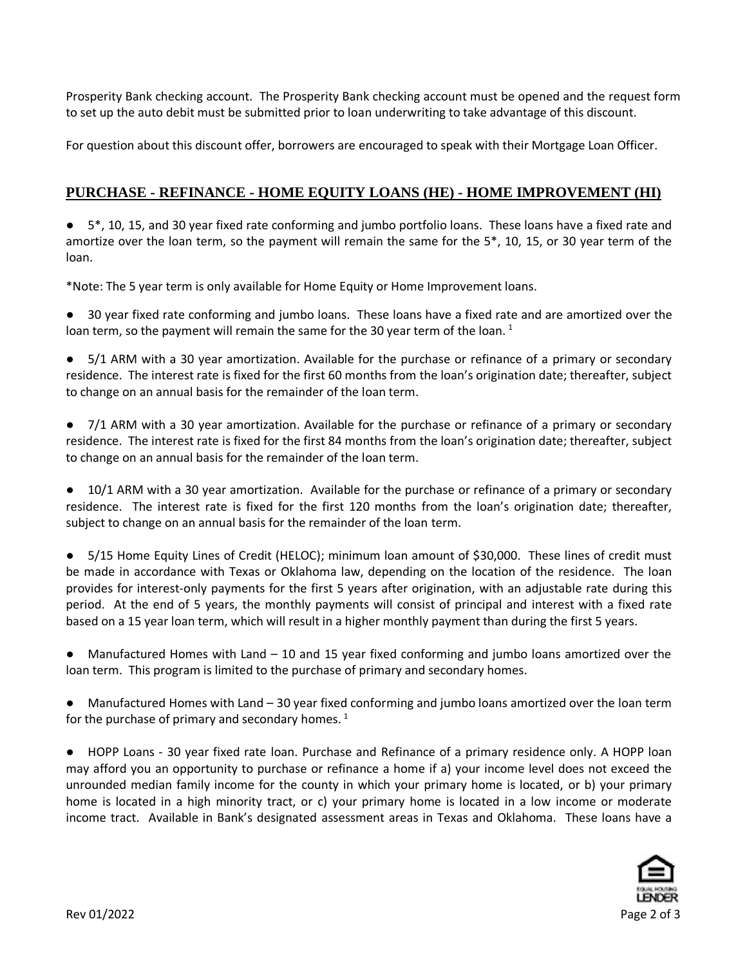Prosperity Bank checking account. The Prosperity Bank checking account must be opened and the request form to set up the auto debit must be submitted prior to loan underwriting to take advantage of this discount.

For question about this discount offer, borrowers are encouraged to speak with their Mortgage Loan Officer.

## **PURCHASE - REFINANCE - HOME EQUITY LOANS (HE) - HOME IMPROVEMENT (HI)**

● 5\*, 10, 15, and 30 year fixed rate conforming and jumbo portfolio loans. These loans have a fixed rate and amortize over the loan term, so the payment will remain the same for the 5\*, 10, 15, or 30 year term of the loan.

\*Note: The 5 year term is only available for Home Equity or Home Improvement loans.

30 year fixed rate conforming and jumbo loans. These loans have a fixed rate and are amortized over the loan term, so the payment will remain the same for the 30 year term of the loan.<sup>1</sup>

5/1 ARM with a 30 year amortization. Available for the purchase or refinance of a primary or secondary residence. The interest rate is fixed for the first 60 months from the loan's origination date; thereafter, subject to change on an annual basis for the remainder of the loan term.

 $7/1$  ARM with a 30 year amortization. Available for the purchase or refinance of a primary or secondary residence. The interest rate is fixed for the first 84 months from the loan's origination date; thereafter, subject to change on an annual basis for the remainder of the loan term.

● 10/1 ARM with a 30 year amortization. Available for the purchase or refinance of a primary or secondary residence. The interest rate is fixed for the first 120 months from the loan's origination date; thereafter, subject to change on an annual basis for the remainder of the loan term.

● 5/15 Home Equity Lines of Credit (HELOC); minimum loan amount of \$30,000. These lines of credit must be made in accordance with Texas or Oklahoma law, depending on the location of the residence. The loan provides for interest-only payments for the first 5 years after origination, with an adjustable rate during this period. At the end of 5 years, the monthly payments will consist of principal and interest with a fixed rate based on a 15 year loan term, which will result in a higher monthly payment than during the first 5 years.

Manufactured Homes with Land  $-10$  and 15 year fixed conforming and jumbo loans amortized over the loan term. This program is limited to the purchase of primary and secondary homes.

Manufactured Homes with Land – 30 year fixed conforming and jumbo loans amortized over the loan term for the purchase of primary and secondary homes.  $^{1}$ 

● HOPP Loans - 30 year fixed rate loan. Purchase and Refinance of a primary residence only. A HOPP loan may afford you an opportunity to purchase or refinance a home if a) your income level does not exceed the unrounded median family income for the county in which your primary home is located, or b) your primary home is located in a high minority tract, or c) your primary home is located in a low income or moderate income tract. Available in Bank's designated assessment areas in Texas and Oklahoma. These loans have a